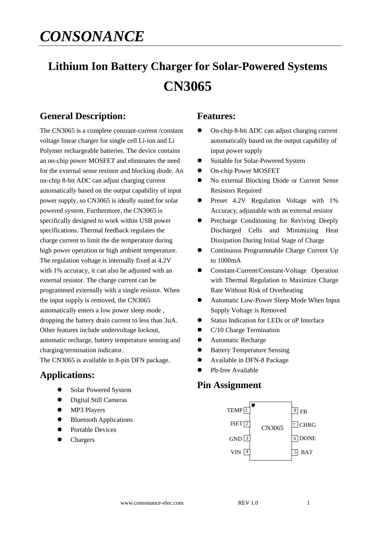# *CONSONANCE*

# **Lithium Ion Battery Charger for Solar-Powered Systems CN3065**

## **General Description:**

The CN3065 is a complete constant-current /constant voltage linear charger for single cell Li-ion and Li Polymer rechargeable batteries. The device contains an on-chip power MOSFET and eliminates the need for the external sense resistor and blocking diode. An on-chip 8-bit ADC can adjust charging current automatically based on the output capability of input power supply, so CN3065 is ideally suited for solar powered system. Furthermore, the CN3065 is specifically designed to work within USB power specifications. Thermal feedback regulates the charge current to limit the die temperature during high power operation or high ambient temperature. The regulation voltage is internally fixed at 4.2V with 1% accuracy, it can also be adjusted with an external resistor. The charge current can be programmed externally with a single resistor. When the input supply is removed, the CN3065 automatically enters a low power sleep mode , dropping the battery drain current to less than 3uA. Other features include undervoltage lockout, automatic recharge, battery temperature sensing and charging/termination indicator. The CN3065 is available in 8-pin DFN package.

### **Applications:**

- Solar Powered System
- Digital Still Cameras
- MP3 Players
- Bluetooth Applications
- Portable Devices
- Chargers

### **Features:**

- On-chip 8-bit ADC can adjust charging current automatically based on the output capability of input power supply
- Suitable for Solar-Powered System
- $\bullet$  On-chip Power MOSFET
- No external Blocking Diode or Current Sense Resistors Required
- Preset 4.2V Regulation Voltage with 1% Accuracy, adjustable with an external resistor
- Precharge Conditioning for Reviving Deeply Discharged Cells and Minimizing Heat Dissipation During Initial Stage of Charge
- Continuous Programmable Charge Current Up to 1000mA
- Constant-Current/Constant-Voltage Operation with Thermal Regulation to Maximize Charge Rate Without Risk of Overheating
- Automatic Low-Power Sleep Mode When Input Supply Voltage is Removed
- Status Indication for LEDs or uP Interface
- C/10 Charge Termination
- Automatic Recharge
- **•** Battery Temperature Sensing
- Available in DFN-8 Package
- Pb-free Available

### **Pin Assignment**

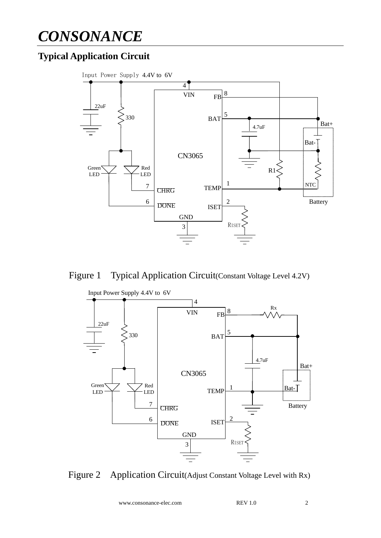# *CONSONANCE*

# **Typical Application Circuit**







Figure 2 Application Circuit(Adjust Constant Voltage Level with Rx)

www.consonance-elec.com REV 1.0 2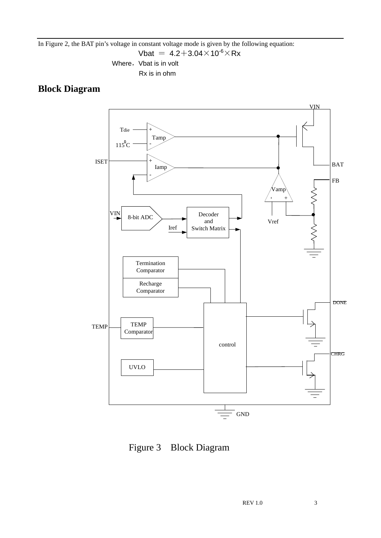In Figure 2, the BAT pin's voltage in constant voltage mode is given by the following equation:

Vbat =  $4.2+3.04\times10^{-6}\times$ Rx

Where, Vbat is in volt Rx is in ohm

## **Block Diagram**



Figure 3 Block Diagram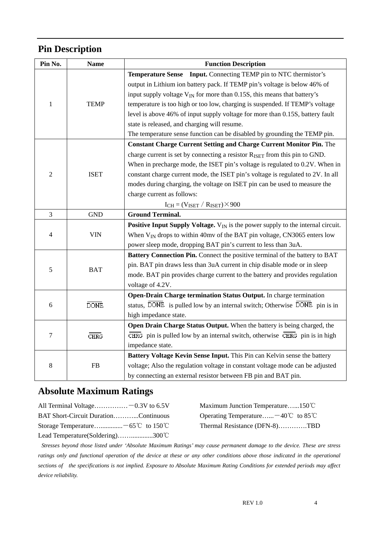# **Pin Description**

| Pin No.        | <b>Name</b> | <b>Function Description</b>                                                                 |  |  |  |
|----------------|-------------|---------------------------------------------------------------------------------------------|--|--|--|
|                |             | <b>Temperature Sense</b> Input. Connecting TEMP pin to NTC thermistor's                     |  |  |  |
|                |             | output in Lithium ion battery pack. If TEMP pin's voltage is below 46% of                   |  |  |  |
|                |             | input supply voltage $V_{IN}$ for more than 0.15S, this means that battery's                |  |  |  |
| $\mathbf{1}$   | <b>TEMP</b> | temperature is too high or too low, charging is suspended. If TEMP's voltage                |  |  |  |
|                |             | level is above 46% of input supply voltage for more than 0.15S, battery fault               |  |  |  |
|                |             | state is released, and charging will resume.                                                |  |  |  |
|                |             | The temperature sense function can be disabled by grounding the TEMP pin.                   |  |  |  |
|                | <b>ISET</b> | <b>Constant Charge Current Setting and Charge Current Monitor Pin.</b> The                  |  |  |  |
|                |             | charge current is set by connecting a resistor R <sub>ISET</sub> from this pin to GND.      |  |  |  |
|                |             | When in precharge mode, the ISET pin's voltage is regulated to 0.2V. When in                |  |  |  |
| $\overline{2}$ |             | constant charge current mode, the ISET pin's voltage is regulated to 2V. In all             |  |  |  |
|                |             | modes during charging, the voltage on ISET pin can be used to measure the                   |  |  |  |
|                |             | charge current as follows:                                                                  |  |  |  |
|                |             | $I_{CH} = (V_{ISET} / R_{ISET}) \times 900$                                                 |  |  |  |
| $\overline{3}$ | <b>GND</b>  | <b>Ground Terminal.</b>                                                                     |  |  |  |
| 4              | <b>VIN</b>  | <b>Positive Input Supply Voltage.</b> $V_{IN}$ is the power supply to the internal circuit. |  |  |  |
|                |             | When $V_{IN}$ drops to within 40mv of the BAT pin voltage, CN3065 enters low                |  |  |  |
|                |             | power sleep mode, dropping BAT pin's current to less than 3uA.                              |  |  |  |
|                | <b>BAT</b>  | Battery Connection Pin. Connect the positive terminal of the battery to BAT                 |  |  |  |
| 5              |             | pin. BAT pin draws less than 3uA current in chip disable mode or in sleep                   |  |  |  |
|                |             | mode. BAT pin provides charge current to the battery and provides regulation                |  |  |  |
|                |             | voltage of 4.2V.                                                                            |  |  |  |
|                | <b>DONE</b> | Open-Drain Charge termination Status Output. In charge termination                          |  |  |  |
| 6              |             | status, DONE is pulled low by an internal switch; Otherwise DONE pin is in                  |  |  |  |
|                |             | high impedance state.                                                                       |  |  |  |
| $\tau$         | CHRG        | Open Drain Charge Status Output. When the battery is being charged, the                     |  |  |  |
|                |             | $CHRG$ pin is pulled low by an internal switch, otherwise $CHRG$ pin is in high             |  |  |  |
|                |             | impedance state.                                                                            |  |  |  |
|                | <b>FB</b>   | Battery Voltage Kevin Sense Input. This Pin can Kelvin sense the battery                    |  |  |  |
| $\,8\,$        |             | voltage; Also the regulation voltage in constant voltage mode can be adjusted               |  |  |  |
|                |             | by connecting an external resistor between FB pin and BAT pin.                              |  |  |  |

# **Absolute Maximum Ratings**

| All Terminal Voltage $-0.3V$ to 6.5V |  |
|--------------------------------------|--|
| BAT Short-Circuit DurationContinuous |  |
|                                      |  |
| Lead Temperature(Soldering)300°C     |  |

Maximum Junction Temperature……150℃ s Operating Temperature……..<sup>-40℃</sup> to 85℃ C Thermal Resistance (DFN-8)…………TBD

*Stresses beyond those listed under 'Absolute Maximum Ratings' may cause permanent damage to the device. These are stress*  ratings only and functional operation of the device at these or any other conditions above those indicated in the operational *sections of the specifications is not implied. Exposure to Absolute Maximum Rating Conditions for extended periods may affect device reliability.*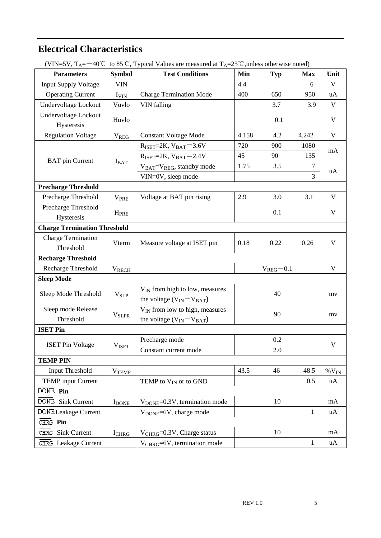# **Electrical Characteristics**

| $($ v $\mu$ v – $\sigma$ v $, \ \nu$ + $\mu$<br><b>Parameters</b> | <b>Symbol</b>           | $40 \circ 10$ s $\circ$ , Typical values are measured at $1_A$ -25 $\circ$ , unless otherwise holed)<br><b>Test Conditions</b> | Min   | <b>Typ</b>      | <b>Max</b>   | Unit                      |  |  |  |
|-------------------------------------------------------------------|-------------------------|--------------------------------------------------------------------------------------------------------------------------------|-------|-----------------|--------------|---------------------------|--|--|--|
| <b>Input Supply Voltage</b>                                       | <b>VIN</b>              |                                                                                                                                | 4.4   |                 | 6            | V                         |  |  |  |
| <b>Operating Current</b>                                          | <b>I</b> VIN            | <b>Charge Termination Mode</b>                                                                                                 | 400   | 650             | 950          | uA                        |  |  |  |
| Undervoltage Lockout                                              | Vuvlo                   | <b>VIN</b> falling                                                                                                             |       | 3.7             | 3.9          | $\mathbf{V}$              |  |  |  |
| Undervoltage Lockout<br>Hysteresis                                | Huvlo                   |                                                                                                                                |       | 0.1             |              | $\mathbf{V}$              |  |  |  |
| <b>Regulation Voltage</b>                                         | <b>V<sub>REG</sub></b>  | <b>Constant Voltage Mode</b>                                                                                                   | 4.158 | 4.2             | 4.242        | $\mathbf{V}$              |  |  |  |
|                                                                   | $I_{BAT}$               | $R_{ISET}=2K$ , $V_{BAT}=3.6V$                                                                                                 | 720   | 900             | 1080         | mA                        |  |  |  |
|                                                                   |                         | $R_{ISET}=2K$ , $V_{BAT}=2.4V$                                                                                                 | 45    | 90              | 135          |                           |  |  |  |
| <b>BAT</b> pin Current                                            |                         | V <sub>BAT</sub> =V <sub>REG</sub> , standby mode                                                                              | 1.75  | 3.5             | $\tau$       | uA                        |  |  |  |
|                                                                   |                         | VIN=0V, sleep mode                                                                                                             |       |                 | 3            |                           |  |  |  |
| <b>Precharge Threshold</b>                                        |                         |                                                                                                                                |       |                 |              |                           |  |  |  |
| Precharge Threshold                                               | <b>V<sub>PRE</sub></b>  | Voltage at BAT pin rising                                                                                                      | 2.9   | 3.0             | 3.1          | $\mathbf{V}$              |  |  |  |
| Precharge Threshold<br>Hysteresis                                 | <b>H</b> <sub>PRE</sub> |                                                                                                                                |       | 0.1             |              | $\mathbf{V}$              |  |  |  |
| <b>Charge Termination Threshold</b>                               |                         |                                                                                                                                |       |                 |              |                           |  |  |  |
| <b>Charge Termination</b><br>Threshold                            | Vterm                   | Measure voltage at ISET pin                                                                                                    | 0.18  | 0.22            | 0.26         | V                         |  |  |  |
| <b>Recharge Threshold</b>                                         |                         |                                                                                                                                |       |                 |              |                           |  |  |  |
| Recharge Threshold                                                | <b>VRECH</b>            |                                                                                                                                |       | $V_{REG} = 0.1$ |              | $\boldsymbol{\mathrm{V}}$ |  |  |  |
| <b>Sleep Mode</b>                                                 |                         |                                                                                                                                |       |                 |              |                           |  |  |  |
| Sleep Mode Threshold                                              | $V_{SLP}$               | V <sub>IN</sub> from high to low, measures<br>the voltage $(V_{IN} - V_{BAT})$                                                 |       | 40              |              | my                        |  |  |  |
| Sleep mode Release                                                | <b>V<sub>SLPR</sub></b> | V <sub>IN</sub> from low to high, measures                                                                                     | 90    |                 |              | mv                        |  |  |  |
| Threshold                                                         |                         | the voltage $(V_{IN} - V_{BAT})$                                                                                               |       |                 |              |                           |  |  |  |
| <b>ISET Pin</b>                                                   |                         |                                                                                                                                |       |                 |              |                           |  |  |  |
| <b>ISET Pin Voltage</b>                                           | V <sub>ISET</sub>       | Precharge mode                                                                                                                 |       | 0.2             |              | $\mathbf V$               |  |  |  |
|                                                                   |                         | Constant current mode                                                                                                          |       | 2.0             |              |                           |  |  |  |
| <b>TEMP PIN</b>                                                   |                         |                                                                                                                                |       |                 |              |                           |  |  |  |
| Input Threshold                                                   | <b>VTEMP</b>            |                                                                                                                                | 43.5  | 46              | 48.5         | $\%$ V <sub>IN</sub>      |  |  |  |
| <b>TEMP</b> input Current                                         |                         | TEMP to $V_{IN}$ or to GND                                                                                                     |       |                 | 0.5          | uA                        |  |  |  |
| DONE Pin                                                          |                         |                                                                                                                                |       |                 |              |                           |  |  |  |
| DONE Sink Current                                                 | <b>I</b> DONE           | V <sub>DONE</sub> =0.3V, termination mode                                                                                      |       | 10              |              | mA                        |  |  |  |
| DONE Leakage Current                                              |                         | V <sub>DONE</sub> =6V, charge mode                                                                                             |       |                 | 1            | uA                        |  |  |  |
| CHRG Pin                                                          |                         |                                                                                                                                |       |                 |              |                           |  |  |  |
| CHRG Sink Current                                                 | <b>I</b> CHRG           | V <sub>CHRG</sub> =0.3V, Charge status                                                                                         |       | 10              |              | mA                        |  |  |  |
| CHRG Leakage Current                                              |                         | V <sub>CHRG</sub> =6V, termination mode                                                                                        |       |                 | $\mathbf{1}$ | uA                        |  |  |  |

(VIN=5V,  $T_A = -40^{\circ}$ C, to 85<sup>°</sup>C. Typical Values are measured at  $T_A = 25^{\circ}$ C unless otherwise noted)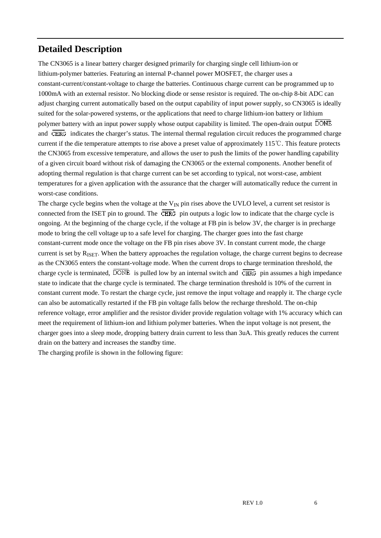## **Detailed Description**

The CN3065 is a linear battery charger designed primarily for charging single cell lithium-ion or lithium-polymer batteries. Featuring an internal P-channel power MOSFET, the charger uses a constant-current/constant-voltage to charge the batteries. Continuous charge current can be programmed up to 1000mA with an external resistor. No blocking diode or sense resistor is required. The on-chip 8-bit ADC can adjust charging current automatically based on the output capability of input power supply, so CN3065 is ideally suited for the solar-powered systems, or the applications that need to charge lithium-ion battery or lithium polymer battery with an input power supply whose output capability is limited. The open-drain output DONE and  $\overline{\text{CHRG}}$  indicates the charger's status. The internal thermal regulation circuit reduces the programmed charge current if the die temperature attempts to rise above a preset value of approximately 115℃. This feature protects the CN3065 from excessive temperature, and allows the user to push the limits of the power handling capability of a given circuit board without risk of damaging the CN3065 or the external components. Another benefit of adopting thermal regulation is that charge current can be set according to typical, not worst-case, ambient temperatures for a given application with the assurance that the charger will automatically reduce the current in worst-case conditions.

The charge cycle begins when the voltage at the  $V_{IN}$  pin rises above the UVLO level, a current set resistor is connected from the ISET pin to ground. The  $\overline{\text{CHRG}}$  pin outputs a logic low to indicate that the charge cycle is ongoing. At the beginning of the charge cycle, if the voltage at FB pin is below 3V, the charger is in precharge mode to bring the cell voltage up to a safe level for charging. The charger goes into the fast charge constant-current mode once the voltage on the FB pin rises above 3V. In constant current mode, the charge current is set by R<sub>ISET</sub>. When the battery approaches the regulation voltage, the charge current begins to decrease as the CN3065 enters the constant-voltage mode. When the current drops to charge termination threshold, the charge cycle is terminated,  $\overline{DONE}$  is pulled low by an internal switch and  $\overline{CHRG}$  pin assumes a high impedance state to indicate that the charge cycle is terminated. The charge termination threshold is 10% of the current in constant current mode. To restart the charge cycle, just remove the input voltage and reapply it. The charge cycle can also be automatically restarted if the FB pin voltage falls below the recharge threshold. The on-chip reference voltage, error amplifier and the resistor divider provide regulation voltage with 1% accuracy which can meet the requirement of lithium-ion and lithium polymer batteries. When the input voltage is not present, the charger goes into a sleep mode, dropping battery drain current to less than 3uA. This greatly reduces the current drain on the battery and increases the standby time.

The charging profile is shown in the following figure: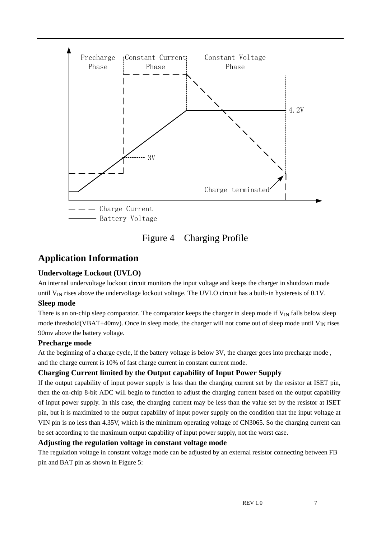

## Figure 4 Charging Profile

## **Application Information**

#### **Undervoltage Lockout (UVLO)**

An internal undervoltage lockout circuit monitors the input voltage and keeps the charger in shutdown mode until  $V_{IN}$  rises above the undervoltage lockout voltage. The UVLO circuit has a built-in hysteresis of 0.1V.

#### **Sleep mode**

There is an on-chip sleep comparator. The comparator keeps the charger in sleep mode if  $V_{IN}$  falls below sleep mode threshold(VBAT+40mv). Once in sleep mode, the charger will not come out of sleep mode until  $V_{IN}$  rises 90mv above the battery voltage.

#### **Precharge mode**

At the beginning of a charge cycle, if the battery voltage is below 3V, the charger goes into precharge mode , and the charge current is 10% of fast charge current in constant current mode.

#### **Charging Current limited by the Output capability of Input Power Supply**

If the output capability of input power supply is less than the charging current set by the resistor at ISET pin, then the on-chip 8-bit ADC will begin to function to adjust the charging current based on the output capability of input power supply. In this case, the charging current may be less than the value set by the resistor at ISET pin, but it is maximized to the output capability of input power supply on the condition that the input voltage at VIN pin is no less than 4.35V, which is the minimum operating voltage of CN3065. So the charging current can be set according to the maximum output capability of input power supply, not the worst case.

#### **Adjusting the regulation voltage in constant voltage mode**

The regulation voltage in constant voltage mode can be adjusted by an external resistor connecting between FB pin and BAT pin as shown in Figure 5: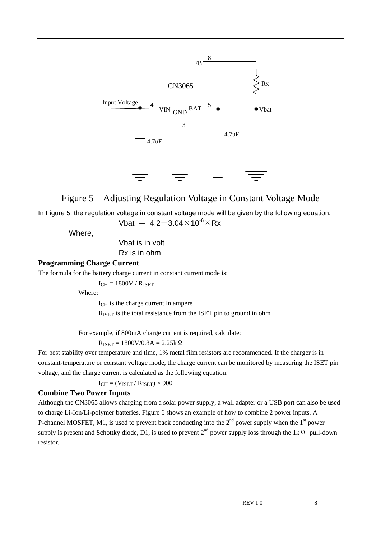

### Figure 5 Adjusting Regulation Voltage in Constant Voltage Mode

In Figure 5, the regulation voltage in constant voltage mode will be given by the following equation: Vbat =  $4.2 + 3.04 \times 10^{-6} \times Rx$ 

Where,

 Vbat is in volt Rx is in ohm

#### **Programming Charge Current**

The formula for the battery charge current in constant current mode is:

 $I_{CH} = 1800V / R_{ISET}$ 

Where:

ICH is the charge current in ampere RISET is the total resistance from the ISET pin to ground in ohm

For example, if 800mA charge current is required, calculate:

 $R_{ISET} = 1800V/0.8A = 2.25k\Omega$ 

For best stability over temperature and time, 1% metal film resistors are recommended. If the charger is in constant-temperature or constant voltage mode, the charge current can be monitored by measuring the ISET pin voltage, and the charge current is calculated as the following equation:

 $I_{CH} = (V_{ISET} / R_{ISET}) \times 900$ 

#### **Combine Two Power Inputs**

Although the CN3065 allows charging from a solar power supply, a wall adapter or a USB port can also be used to charge Li-Ion/Li-polymer batteries. Figure 6 shows an example of how to combine 2 power inputs. A P-channel MOSFET, M1, is used to prevent back conducting into the  $2<sup>nd</sup>$  power supply when the  $1<sup>st</sup>$  power supply is present and Schottky diode, D1, is used to prevent  $2^{nd}$  power supply loss through the 1k  $\Omega$  pull-down resistor.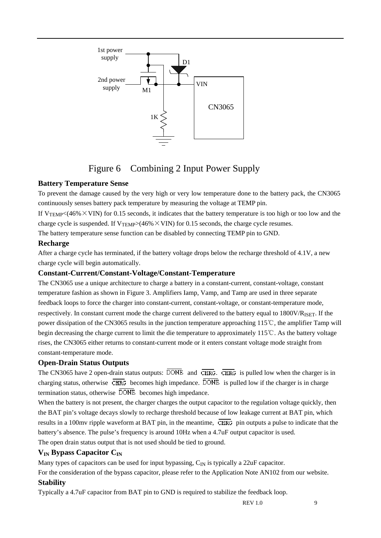

# Figure 6 Combining 2 Input Power Supply

#### **Battery Temperature Sense**

To prevent the damage caused by the very high or very low temperature done to the battery pack, the CN3065 continuously senses battery pack temperature by measuring the voltage at TEMP pin.

If  $V_{\text{TEMP}}$  < (46%  $\times$  VIN) for 0.15 seconds, it indicates that the battery temperature is too high or too low and the charge cycle is suspended. If  $V_{\text{TEMP}}>(46\% \times \text{VIN})$  for 0.15 seconds, the charge cycle resumes.

The battery temperature sense function can be disabled by connecting TEMP pin to GND.

#### **Recharge**

After a charge cycle has terminated, if the battery voltage drops below the recharge threshold of 4.1V, a new charge cycle will begin automatically.

#### **Constant-Current/Constant-Voltage/Constant-Temperature**

The CN3065 use a unique architecture to charge a battery in a constant-current, constant-voltage, constant temperature fashion as shown in Figure 3. Amplifiers Iamp, Vamp, and Tamp are used in three separate feedback loops to force the charger into constant-current, constant-voltage, or constant-temperature mode, respectively. In constant current mode the charge current delivered to the battery equal to 1800V/RISET. If the power dissipation of the CN3065 results in the junction temperature approaching 115℃, the amplifier Tamp will begin decreasing the charge current to limit the die temperature to approximately 115℃. As the battery voltage rises, the CN3065 either returns to constant-current mode or it enters constant voltage mode straight from constant-temperature mode.

#### **Open-Drain Status Outputs**

The CN3065 have 2 open-drain status outputs:  $\overline{DONE}$  and  $\overline{CHRG}$ .  $\overline{CHRG}$  is pulled low when the charger is in charging status, otherwise  $\overline{\text{CHRG}}$  becomes high impedance.  $\overline{\text{DONE}}$  is pulled low if the charger is in charge termination status, otherwise  $\overline{DONE}$  becomes high impedance.

When the battery is not present, the charger charges the output capacitor to the regulation voltage quickly, then the BAT pin's voltage decays slowly to recharge threshold because of low leakage current at BAT pin, which results in a 100mv ripple waveform at BAT pin, in the meantime,  $\overline{\text{CHRG}}$  pin outputs a pulse to indicate that the battery's absence. The pulse's frequency is around 10Hz when a 4.7uF output capacitor is used. The open drain status output that is not used should be tied to ground.

#### **VIN Bypass Capacitor CIN**

Many types of capacitors can be used for input bypassing,  $C_{\text{IN}}$  is typically a 22uF capacitor.

For the consideration of the bypass capacitor, please refer to the Application Note AN102 from our website. **Stability** 

#### Typically a 4.7uF capacitor from BAT pin to GND is required to stabilize the feedback loop.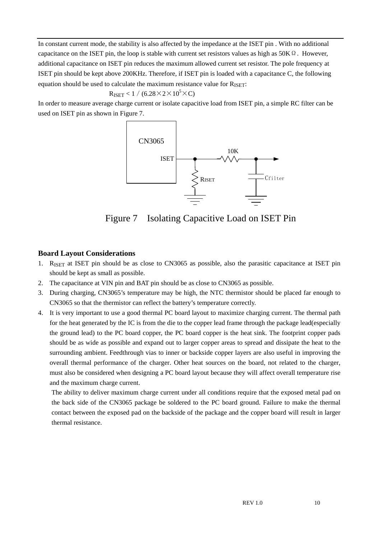In constant current mode, the stability is also affected by the impedance at the ISET pin . With no additional capacitance on the ISET pin, the loop is stable with current set resistors values as high as  $50K\Omega$ . However, additional capacitance on ISET pin reduces the maximum allowed current set resistor. The pole frequency at ISET pin should be kept above 200KHz. Therefore, if ISET pin is loaded with a capacitance C, the following equation should be used to calculate the maximum resistance value for  $R_{\text{ISET}}$ :

$$
R_{ISET} < 1~/~(6.28\!\times\!2\!\times\!10^5\!\times\!C)
$$

In order to measure average charge current or isolate capacitive load from ISET pin, a simple RC filter can be used on ISET pin as shown in Figure 7.



Figure 7 Isolating Capacitive Load on ISET Pin

#### **Board Layout Considerations**

- 1. RISET at ISET pin should be as close to CN3065 as possible, also the parasitic capacitance at ISET pin should be kept as small as possible.
- 2. The capacitance at VIN pin and BAT pin should be as close to CN3065 as possible.
- 3. During charging, CN3065's temperature may be high, the NTC thermistor should be placed far enough to CN3065 so that the thermistor can reflect the battery's temperature correctly.
- 4. It is very important to use a good thermal PC board layout to maximize charging current. The thermal path for the heat generated by the IC is from the die to the copper lead frame through the package lead(especially the ground lead) to the PC board copper, the PC board copper is the heat sink. The footprint copper pads should be as wide as possible and expand out to larger copper areas to spread and dissipate the heat to the surrounding ambient. Feedthrough vias to inner or backside copper layers are also useful in improving the overall thermal performance of the charger. Other heat sources on the board, not related to the charger, must also be considered when designing a PC board layout because they will affect overall temperature rise and the maximum charge current.

The ability to deliver maximum charge current under all conditions require that the exposed metal pad on the back side of the CN3065 package be soldered to the PC board ground. Failure to make the thermal contact between the exposed pad on the backside of the package and the copper board will result in larger thermal resistance.